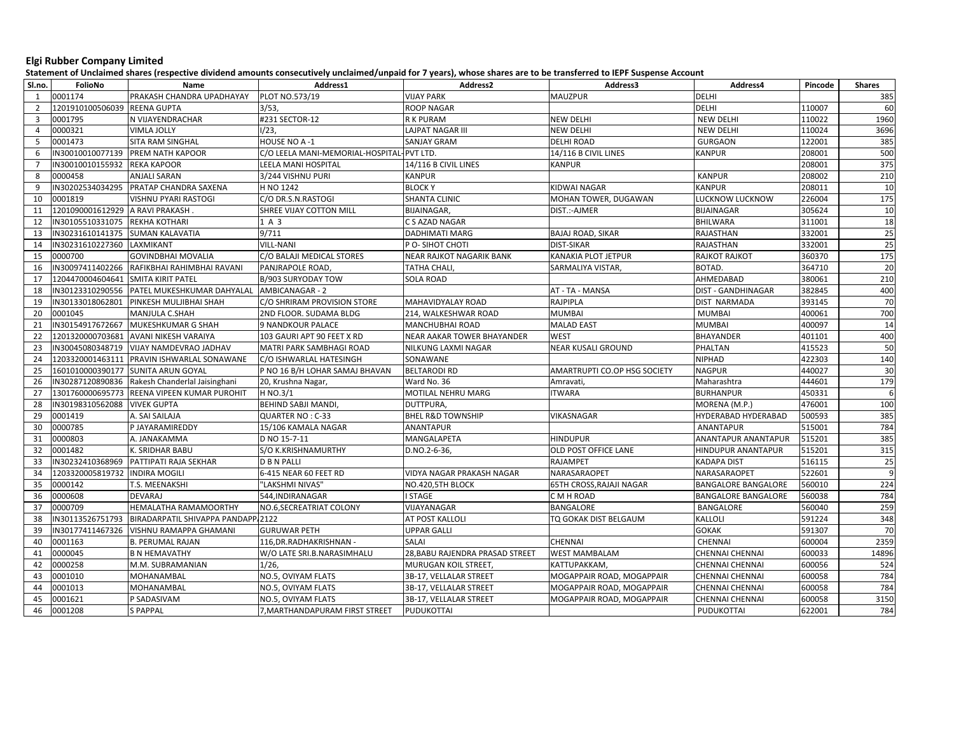## Elgi Rubber Company Limited

Statement of Unclaimed shares (respective dividend amounts consecutively unclaimed/unpaid for 7 years), whose shares are to be transferred to IEPF Suspense Account

| Sl.no.         | FolioNo                            | Name                                        | Address1                                  | Address2                        | Address3                     | Address4                   | Pincode | <b>Shares</b> |
|----------------|------------------------------------|---------------------------------------------|-------------------------------------------|---------------------------------|------------------------------|----------------------------|---------|---------------|
| 1              | 0001174                            | PRAKASH CHANDRA UPADHAYAY                   | PLOT NO.573/19                            | <b>VIJAY PARK</b>               | <b>MAUZPUR</b>               | <b>DELHI</b>               |         | 385           |
| $\overline{2}$ | 1201910100506039                   | <b>REENA GUPTA</b>                          | 3/53,                                     | <b>ROOP NAGAR</b>               |                              | <b>DELHI</b>               | 110007  | 60            |
| $\overline{3}$ | 0001795                            | N VIJAYENDRACHAR                            | #231 SECTOR-12                            | <b>RK PURAM</b>                 | <b>NEW DELHI</b>             | <b>NEW DELHI</b>           | 110022  | 1960          |
| $\overline{4}$ | 0000321                            | <b>VIMLA JOLLY</b>                          | 1/23.                                     | <b>LAJPAT NAGAR III</b>         | <b>NEW DELHI</b>             | <b>NEW DELHI</b>           | 110024  | 3696          |
| $5^{\circ}$    | 0001473                            | SITA RAM SINGHAL                            | HOUSE NO A-1                              | <b>SANJAY GRAM</b>              | <b>DELHI ROAD</b>            | <b>GURGAON</b>             | 122001  | 385           |
| 6              |                                    | IN30010010077139 PREM NATH KAPOOR           | C/O LEELA MANI-MEMORIAL-HOSPITAL-PVT LTD. |                                 | 14/116 B CIVIL LINES         | <b>KANPUR</b>              | 208001  | 500           |
| $\overline{7}$ | IN30010010155932                   | <b>REKA KAPOOR</b>                          | LEELA MANI HOSPITAL                       | 14/116 B CIVIL LINES            | <b>KANPUR</b>                |                            | 208001  | 375           |
| 8              | 0000458                            | <b>ANJALI SARAN</b>                         | 3/244 VISHNU PURI                         | <b>KANPUR</b>                   |                              | <b>KANPUR</b>              | 208002  | 210           |
| 9              | IN30202534034295                   | PRATAP CHANDRA SAXENA                       | H NO 1242                                 | <b>BLOCKY</b>                   | KIDWAI NAGAR                 | <b>KANPUR</b>              | 208011  | 10            |
| 10             | 0001819                            | VISHNU PYARI RASTOGI                        | C/O DR.S.N.RASTOGI                        | <b>SHANTA CLINIC</b>            | MOHAN TOWER, DUGAWAN         | LUCKNOW LUCKNOW            | 226004  | 175           |
| 11             | 1201090001612929 A RAVI PRAKASH    |                                             | SHREE VIJAY COTTON MILL                   | <b>BIJAINAGAR,</b>              | DIST.:-AJMER                 | <b>BIJAINAGAR</b>          | 305624  | 10            |
| 12             | IN30105510331075                   | <b>REKHA KOTHARI</b>                        | 1 A 3                                     | C S AZAD NAGAR                  |                              | <b>BHILWARA</b>            | 311001  | 18            |
| 13             | IN30231610141375 SUMAN KALAVATIA   |                                             | 9/711                                     | <b>DADHIMATI MARG</b>           | <b>BAJAJ ROAD, SIKAR</b>     | <b>RAJASTHAN</b>           | 332001  | 25            |
| 14             | IN30231610227360                   | LAXMIKANT                                   | VILL-NANI                                 | P O-SIHOT CHOTI                 | <b>DIST-SIKAR</b>            | <b>RAJASTHAN</b>           | 332001  | 25            |
| 15             | 0000700                            | <b>GOVINDBHAI MOVALIA</b>                   | C/O BALAJI MEDICAL STORES                 | NEAR RAJKOT NAGARIK BANK        | KANAKIA PLOT JETPUR          | RAJKOT RAJKOT              | 360370  | 175           |
| 16             | IN30097411402266                   | RAFIKBHAI RAHIMBHAI RAVANI                  | PANJRAPOLE ROAD,                          | TATHA CHALI,                    | SARMALIYA VISTAR,            | BOTAD.                     | 364710  | 20            |
| 17             | 1204470004604641 SMITA KIRIT PATEL |                                             | B/903 SURYODAY TOW                        | <b>SOLA ROAD</b>                |                              | AHMEDABAD                  | 380061  | 210           |
| 18             | IN30123310290556                   | PATEL MUKESHKUMAR DAHYALAL                  | AMBICANAGAR - 2                           |                                 | AT - TA - MANSA              | <b>DIST - GANDHINAGAR</b>  | 382845  | 400           |
| 19             | IN30133018062801                   | PINKESH MULJIBHAI SHAH                      | C/O SHRIRAM PROVISION STORE               | MAHAVIDYALAY ROAD               | RAJPIPLA                     | DIST NARMADA               | 393145  | 70            |
| 20             | 0001045                            | MANJULA C.SHAH                              | 2ND FLOOR. SUDAMA BLDG                    | 214, WALKESHWAR ROAD            | <b>MUMBAI</b>                | <b>MUMBAI</b>              | 400061  | 700           |
| 21             | IN30154917672667                   | MUKESHKUMAR G SHAH                          | 9 NANDKOUR PALACE                         | <b>MANCHUBHAI ROAD</b>          | <b>MALAD EAST</b>            | <b>MUMBAI</b>              | 400097  | 14            |
| 22             | 1201320000703681                   | AVANI NIKESH VARAIYA                        | 103 GAURI APT 90 FEET X RD                | NEAR AAKAR TOWER BHAYANDER      | <b>WEST</b>                  | <b>BHAYANDER</b>           | 401101  | 400           |
| 23             | IN30045080348719                   | VIJAY NAMDEVRAO JADHAV                      | MATRI PARK SAMBHAGI ROAD                  | NILKUNG LAXMI NAGAR             | <b>NEAR KUSALI GROUND</b>    | PHALTAN                    | 415523  | 50            |
| 24             |                                    | 1203320001463111 PRAVIN ISHWARLAL SONAWANE  | C/O ISHWARLAL HATESINGH                   | SONAWANE                        |                              | <b>NIPHAD</b>              | 422303  | 140           |
| 25             |                                    | 1601010000390177 SUNITA ARUN GOYAL          | P NO 16 B/H LOHAR SAMAJ BHAVAN            | <b>BELTARODI RD</b>             | AMARTRUPTI CO.OP HSG SOCIETY | <b>NAGPUR</b>              | 440027  | 30            |
| 26             | IN30287120890836                   | Rakesh Chanderlal Jaisinghani               | 20, Krushna Nagar,                        | Ward No. 36                     | Amravati,                    | Maharashtra                | 444601  | 179           |
| 27             |                                    | 1301760000695773 REENA VIPEEN KUMAR PUROHIT | H NO.3/1                                  | MOTILAL NEHRU MARG              | <b>ITWARA</b>                | <b>BURHANPUR</b>           | 450331  | 6             |
| 28             | IN30198310562088                   | <b>VIVEK GUPTA</b>                          | BEHIND SABJI MANDI,                       | DUTTPURA,                       |                              | MORENA (M.P.)              | 476001  | 100           |
| 29             | 0001419                            | A. SAI SAILAJA                              | QUARTER NO : C-33                         | <b>BHEL R&amp;D TOWNSHIP</b>    | VIKASNAGAR                   | HYDERABAD HYDERABAD        | 500593  | 385           |
| 30             | 0000785                            | P JAYARAMIREDDY                             | 15/106 KAMALA NAGAR                       | <b>ANANTAPUR</b>                |                              | ANANTAPUR                  | 515001  | 784           |
| 31             | 0000803                            | A. JANAKAMMA                                | D NO 15-7-11                              | MANGALAPETA                     | <b>HINDUPUR</b>              | ANANTAPUR ANANTAPUR        | 515201  | 385           |
| 32             | 0001482                            | K. SRIDHAR BABU                             | S/O K.KRISHNAMURTHY                       | D.NO.2-6-36,                    | OLD POST OFFICE LANE         | HINDUPUR ANANTAPUR         | 515201  | 315           |
| 33             | IN30232410368969                   | PATTIPATI RAJA SEKHAR                       | D B N PALLI                               |                                 | <b>RAJAMPET</b>              | <b>KADAPA DIST</b>         | 516115  | 25            |
| 34             | 1203320005819732 INDIRA MOGILI     |                                             | 6-415 NEAR 60 FEET RD                     | VIDYA NAGAR PRAKASH NAGAR       | NARASARAOPET                 | NARASARAOPET               | 522601  | 9             |
| 35             | 0000142                            | T.S. MEENAKSHI                              | "LAKSHMI NIVAS"                           | NO.420,5TH BLOCK                | 65TH CROSS, RAJAJI NAGAR     | <b>BANGALORE BANGALORE</b> | 560010  | 224           |
| 36             | 0000608                            | <b>DEVARAJ</b>                              | 544,INDIRANAGAR                           | <b>I STAGE</b>                  | C M H ROAD                   | <b>BANGALORE BANGALORE</b> | 560038  | 784           |
| 37             | 0000709                            | HEMALATHA RAMAMOORTHY                       | NO.6,SECREATRIAT COLONY                   | VIJAYANAGAR                     | BANGALORE                    | BANGALORE                  | 560040  | 259           |
| 38             | IN30113526751793                   | BIRADARPATIL SHIVAPPA PANDAPP 2122          |                                           | AT POST KALLOLI                 | TQ GOKAK DIST BELGAUM        | <b>KALLOLI</b>             | 591224  | 348           |
| 39             | IN30177411467326                   | VISHNU RAMAPPA GHAMANI                      | <b>GURUWAR PETH</b>                       | <b>UPPAR GALLI</b>              |                              | <b>GOKAK</b>               | 591307  | 70            |
| 40             | 0001163                            | <b>B. PERUMAL RAJAN</b>                     | 116,DR.RADHAKRISHNAN -                    | <b>SALAI</b>                    | CHENNAI                      | CHENNAI                    | 600004  | 2359          |
| 41             | 0000045                            | <b>B N HEMAVATHY</b>                        | W/O LATE SRI.B.NARASIMHALU                | 28, BABU RAJENDRA PRASAD STREET | <b>WEST MAMBALAM</b>         | CHENNAI CHENNAI            | 600033  | 14896         |
| 42             | 0000258                            | M.M. SUBRAMANIAN                            | 1/26,                                     | MURUGAN KOIL STREET,            | KATTUPAKKAM,                 | CHENNAI CHENNAI            | 600056  | 524           |
| 43             | 0001010                            | MOHANAMBAL                                  | NO.5, OVIYAM FLATS                        | 3B-17, VELLALAR STREET          | MOGAPPAIR ROAD, MOGAPPAIR    | CHENNAI CHENNAI            | 600058  | 784           |
| 44             | 0001013                            | MOHANAMBAL                                  | NO.5, OVIYAM FLATS                        | 3B-17, VELLALAR STREET          | MOGAPPAIR ROAD, MOGAPPAIR    | <b>CHENNAI CHENNAI</b>     | 600058  | 784           |
| 45             | 0001621                            | P SADASIVAM                                 | NO.5, OVIYAM FLATS                        | 3B-17, VELLALAR STREET          | MOGAPPAIR ROAD, MOGAPPAIR    | CHENNAI CHENNAI            | 600058  | 3150          |
| 46             | 0001208                            | <b>S PAPPAL</b>                             | 7, MARTHANDAPURAM FIRST STREET            | PUDUKOTTAI                      |                              | PUDUKOTTAI                 | 622001  | 784           |